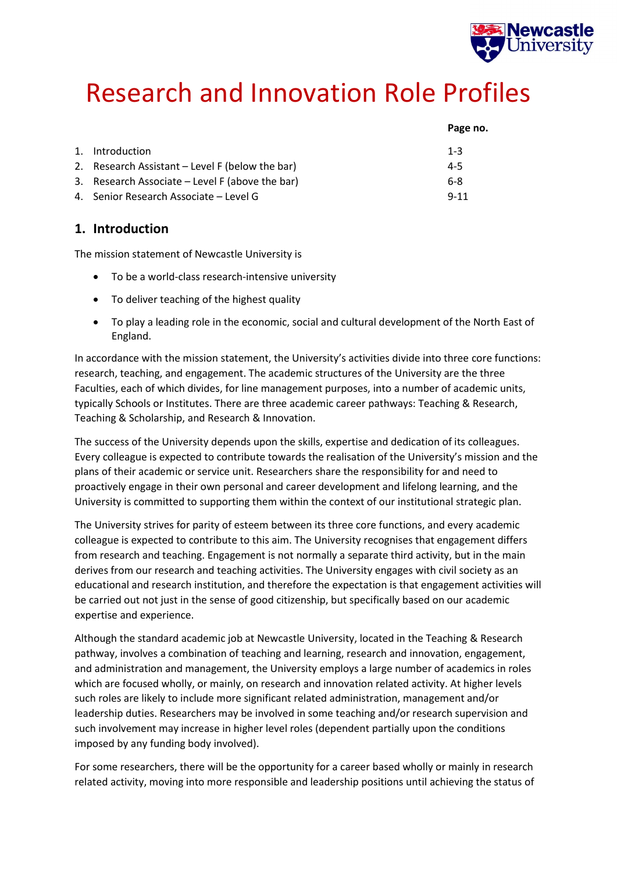

# Research and Innovation Role Profiles

|                                                   | Page no. |
|---------------------------------------------------|----------|
| 1. Introduction                                   | $1 - 3$  |
| 2. Research Assistant – Level F (below the bar)   | $4 - 5$  |
| 3. Research Associate $-$ Level F (above the bar) | 6-8      |
| 4. Senior Research Associate - Level G            | $9 - 11$ |

# **1. Introduction**

The mission statement of Newcastle University is

- To be a world-class research-intensive university
- To deliver teaching of the highest quality
- To play a leading role in the economic, social and cultural development of the North East of England.

In accordance with the mission statement, the University's activities divide into three core functions: research, teaching, and engagement. The academic structures of the University are the three Faculties, each of which divides, for line management purposes, into a number of academic units, typically Schools or Institutes. There are three academic career pathways: Teaching & Research, Teaching & Scholarship, and Research & Innovation.

The success of the University depends upon the skills, expertise and dedication of its colleagues. Every colleague is expected to contribute towards the realisation of the University's mission and the plans of their academic or service unit. Researchers share the responsibility for and need to proactively engage in their own personal and career development and lifelong learning, and the University is committed to supporting them within the context of our institutional strategic plan.

The University strives for parity of esteem between its three core functions, and every academic colleague is expected to contribute to this aim. The University recognises that engagement differs from research and teaching. Engagement is not normally a separate third activity, but in the main derives from our research and teaching activities. The University engages with civil society as an educational and research institution, and therefore the expectation is that engagement activities will be carried out not just in the sense of good citizenship, but specifically based on our academic expertise and experience.

Although the standard academic job at Newcastle University, located in the Teaching & Research pathway, involves a combination of teaching and learning, research and innovation, engagement, and administration and management, the University employs a large number of academics in roles which are focused wholly, or mainly, on research and innovation related activity. At higher levels such roles are likely to include more significant related administration, management and/or leadership duties. Researchers may be involved in some teaching and/or research supervision and such involvement may increase in higher level roles (dependent partially upon the conditions imposed by any funding body involved).

For some researchers, there will be the opportunity for a career based wholly or mainly in research related activity, moving into more responsible and leadership positions until achieving the status of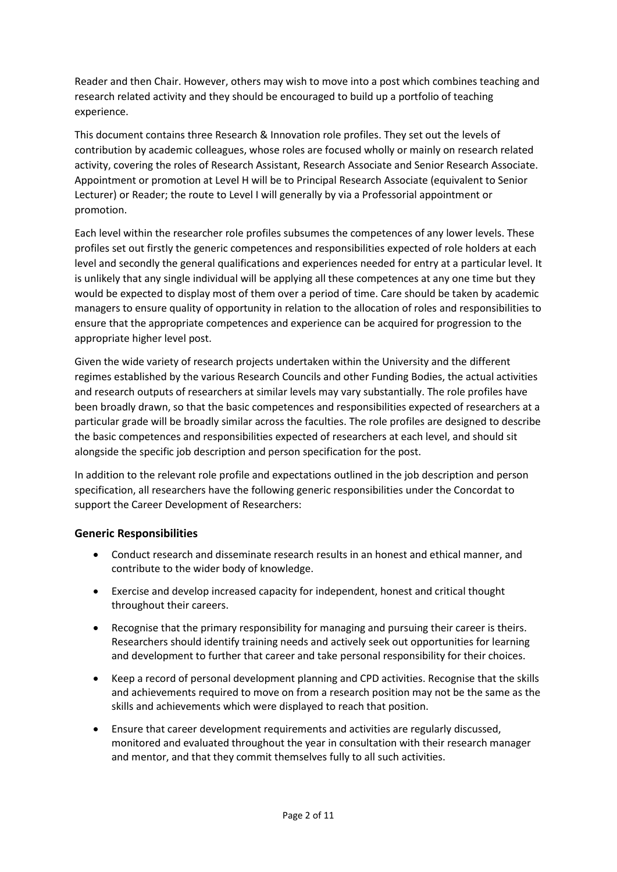Reader and then Chair. However, others may wish to move into a post which combines teaching and research related activity and they should be encouraged to build up a portfolio of teaching experience.

This document contains three Research & Innovation role profiles. They set out the levels of contribution by academic colleagues, whose roles are focused wholly or mainly on research related activity, covering the roles of Research Assistant, Research Associate and Senior Research Associate. Appointment or promotion at Level H will be to Principal Research Associate (equivalent to Senior Lecturer) or Reader; the route to Level I will generally by via a Professorial appointment or promotion.

Each level within the researcher role profiles subsumes the competences of any lower levels. These profiles set out firstly the generic competences and responsibilities expected of role holders at each level and secondly the general qualifications and experiences needed for entry at a particular level. It is unlikely that any single individual will be applying all these competences at any one time but they would be expected to display most of them over a period of time. Care should be taken by academic managers to ensure quality of opportunity in relation to the allocation of roles and responsibilities to ensure that the appropriate competences and experience can be acquired for progression to the appropriate higher level post.

Given the wide variety of research projects undertaken within the University and the different regimes established by the various Research Councils and other Funding Bodies, the actual activities and research outputs of researchers at similar levels may vary substantially. The role profiles have been broadly drawn, so that the basic competences and responsibilities expected of researchers at a particular grade will be broadly similar across the faculties. The role profiles are designed to describe the basic competences and responsibilities expected of researchers at each level, and should sit alongside the specific job description and person specification for the post.

In addition to the relevant role profile and expectations outlined in the job description and person specification, all researchers have the following generic responsibilities under the Concordat to support the Career Development of Researchers:

### **Generic Responsibilities**

- Conduct research and disseminate research results in an honest and ethical manner, and contribute to the wider body of knowledge.
- Exercise and develop increased capacity for independent, honest and critical thought throughout their careers.
- Recognise that the primary responsibility for managing and pursuing their career is theirs. Researchers should identify training needs and actively seek out opportunities for learning and development to further that career and take personal responsibility for their choices.
- Keep a record of personal development planning and CPD activities. Recognise that the skills and achievements required to move on from a research position may not be the same as the skills and achievements which were displayed to reach that position.
- Ensure that career development requirements and activities are regularly discussed, monitored and evaluated throughout the year in consultation with their research manager and mentor, and that they commit themselves fully to all such activities.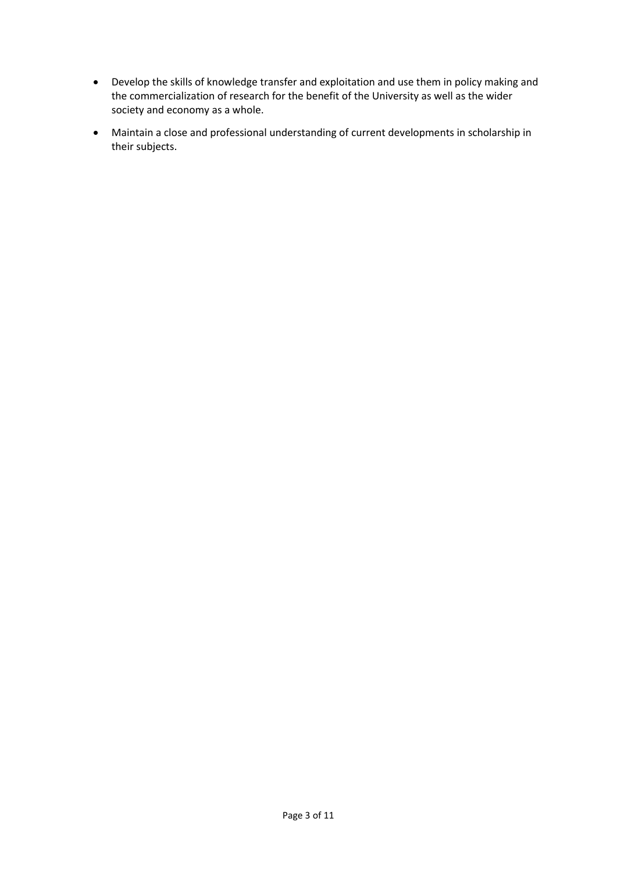- Develop the skills of knowledge transfer and exploitation and use them in policy making and the commercialization of research for the benefit of the University as well as the wider society and economy as a whole.
- Maintain a close and professional understanding of current developments in scholarship in their subjects.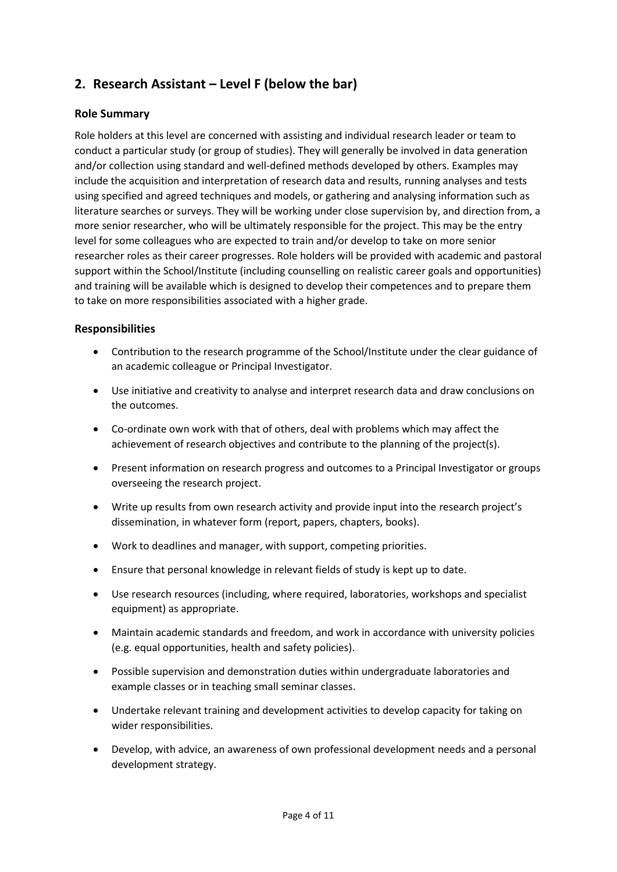# **2. Research Assistant – Level F (below the bar)**

#### **Role Summary**

Role holders at this level are concerned with assisting and individual research leader or team to conduct a particular study (or group of studies). They will generally be involved in data generation and/or collection using standard and well-defined methods developed by others. Examples may include the acquisition and interpretation of research data and results, running analyses and tests using specified and agreed techniques and models, or gathering and analysing information such as literature searches or surveys. They will be working under close supervision by, and direction from, a more senior researcher, who will be ultimately responsible for the project. This may be the entry level for some colleagues who are expected to train and/or develop to take on more senior researcher roles as their career progresses. Role holders will be provided with academic and pastoral support within the School/Institute (including counselling on realistic career goals and opportunities) and training will be available which is designed to develop their competences and to prepare them to take on more responsibilities associated with a higher grade.

#### **Responsibilities**

- Contribution to the research programme of the School/Institute under the clear guidance of an academic colleague or Principal Investigator.
- Use initiative and creativity to analyse and interpret research data and draw conclusions on the outcomes.
- Co-ordinate own work with that of others, deal with problems which may affect the achievement of research objectives and contribute to the planning of the project(s).
- Present information on research progress and outcomes to a Principal Investigator or groups overseeing the research project.
- Write up results from own research activity and provide input into the research project's dissemination, in whatever form (report, papers, chapters, books).
- Work to deadlines and manager, with support, competing priorities.
- Ensure that personal knowledge in relevant fields of study is kept up to date.
- Use research resources (including, where required, laboratories, workshops and specialist equipment) as appropriate.
- Maintain academic standards and freedom, and work in accordance with university policies (e.g. equal opportunities, health and safety policies).
- Possible supervision and demonstration duties within undergraduate laboratories and example classes or in teaching small seminar classes.
- Undertake relevant training and development activities to develop capacity for taking on wider responsibilities.
- Develop, with advice, an awareness of own professional development needs and a personal development strategy.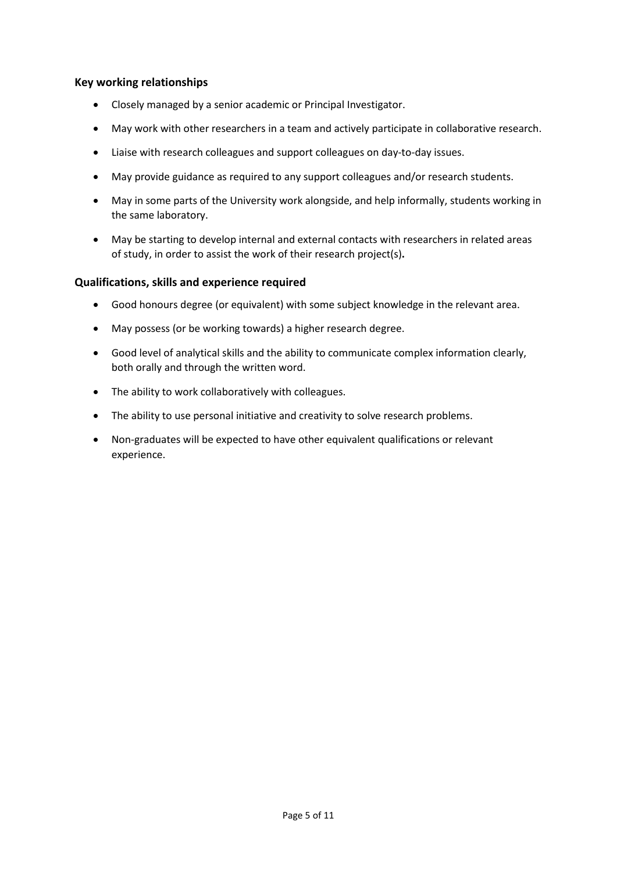#### **Key working relationships**

- Closely managed by a senior academic or Principal Investigator.
- May work with other researchers in a team and actively participate in collaborative research.
- Liaise with research colleagues and support colleagues on day-to-day issues.
- May provide guidance as required to any support colleagues and/or research students.
- May in some parts of the University work alongside, and help informally, students working in the same laboratory.
- May be starting to develop internal and external contacts with researchers in related areas of study, in order to assist the work of their research project(s)**.**

#### **Qualifications, skills and experience required**

- Good honours degree (or equivalent) with some subject knowledge in the relevant area.
- May possess (or be working towards) a higher research degree.
- Good level of analytical skills and the ability to communicate complex information clearly, both orally and through the written word.
- The ability to work collaboratively with colleagues.
- The ability to use personal initiative and creativity to solve research problems.
- Non-graduates will be expected to have other equivalent qualifications or relevant experience.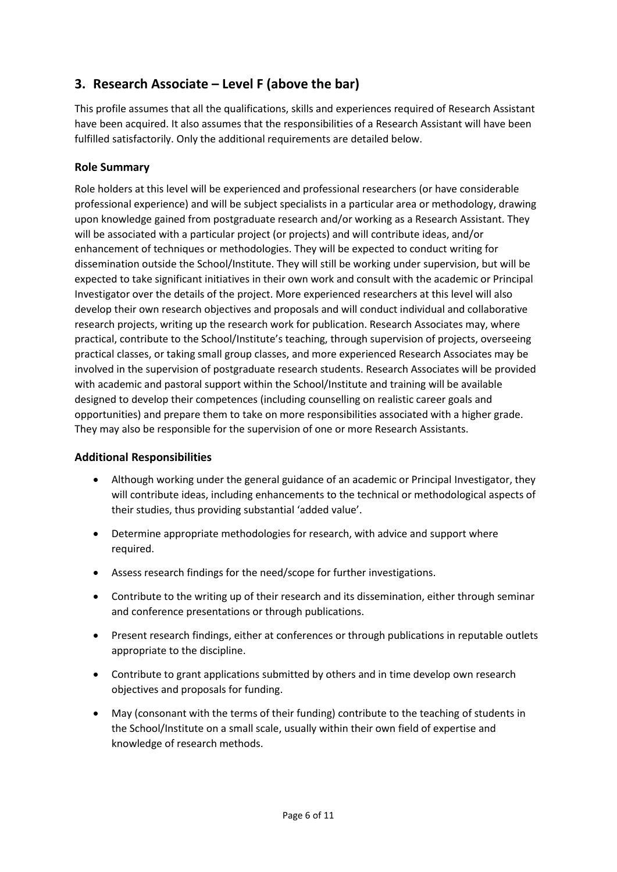# **3. Research Associate – Level F (above the bar)**

This profile assumes that all the qualifications, skills and experiences required of Research Assistant have been acquired. It also assumes that the responsibilities of a Research Assistant will have been fulfilled satisfactorily. Only the additional requirements are detailed below.

## **Role Summary**

Role holders at this level will be experienced and professional researchers (or have considerable professional experience) and will be subject specialists in a particular area or methodology, drawing upon knowledge gained from postgraduate research and/or working as a Research Assistant. They will be associated with a particular project (or projects) and will contribute ideas, and/or enhancement of techniques or methodologies. They will be expected to conduct writing for dissemination outside the School/Institute. They will still be working under supervision, but will be expected to take significant initiatives in their own work and consult with the academic or Principal Investigator over the details of the project. More experienced researchers at this level will also develop their own research objectives and proposals and will conduct individual and collaborative research projects, writing up the research work for publication. Research Associates may, where practical, contribute to the School/Institute's teaching, through supervision of projects, overseeing practical classes, or taking small group classes, and more experienced Research Associates may be involved in the supervision of postgraduate research students. Research Associates will be provided with academic and pastoral support within the School/Institute and training will be available designed to develop their competences (including counselling on realistic career goals and opportunities) and prepare them to take on more responsibilities associated with a higher grade. They may also be responsible for the supervision of one or more Research Assistants.

### **Additional Responsibilities**

- Although working under the general guidance of an academic or Principal Investigator, they will contribute ideas, including enhancements to the technical or methodological aspects of their studies, thus providing substantial 'added value'.
- Determine appropriate methodologies for research, with advice and support where required.
- Assess research findings for the need/scope for further investigations.
- Contribute to the writing up of their research and its dissemination, either through seminar and conference presentations or through publications.
- Present research findings, either at conferences or through publications in reputable outlets appropriate to the discipline.
- Contribute to grant applications submitted by others and in time develop own research objectives and proposals for funding.
- May (consonant with the terms of their funding) contribute to the teaching of students in the School/Institute on a small scale, usually within their own field of expertise and knowledge of research methods.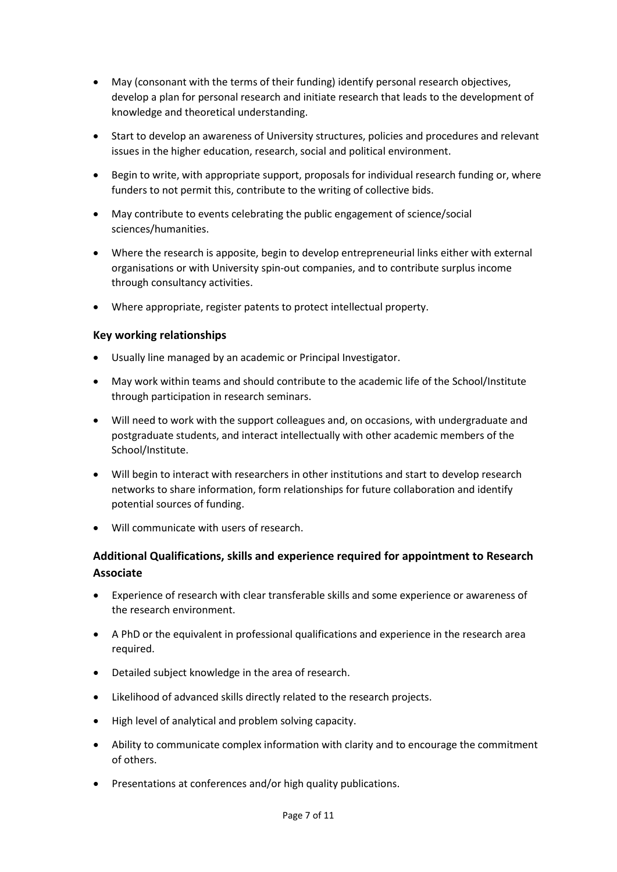- May (consonant with the terms of their funding) identify personal research objectives, develop a plan for personal research and initiate research that leads to the development of knowledge and theoretical understanding.
- Start to develop an awareness of University structures, policies and procedures and relevant issues in the higher education, research, social and political environment.
- Begin to write, with appropriate support, proposals for individual research funding or, where funders to not permit this, contribute to the writing of collective bids.
- May contribute to events celebrating the public engagement of science/social sciences/humanities.
- Where the research is apposite, begin to develop entrepreneurial links either with external organisations or with University spin-out companies, and to contribute surplus income through consultancy activities.
- Where appropriate, register patents to protect intellectual property.

#### **Key working relationships**

- Usually line managed by an academic or Principal Investigator.
- May work within teams and should contribute to the academic life of the School/Institute through participation in research seminars.
- Will need to work with the support colleagues and, on occasions, with undergraduate and postgraduate students, and interact intellectually with other academic members of the School/Institute.
- Will begin to interact with researchers in other institutions and start to develop research networks to share information, form relationships for future collaboration and identify potential sources of funding.
- Will communicate with users of research.

## **Additional Qualifications, skills and experience required for appointment to Research Associate**

- Experience of research with clear transferable skills and some experience or awareness of the research environment.
- A PhD or the equivalent in professional qualifications and experience in the research area required.
- Detailed subject knowledge in the area of research.
- Likelihood of advanced skills directly related to the research projects.
- High level of analytical and problem solving capacity.
- Ability to communicate complex information with clarity and to encourage the commitment of others.
- Presentations at conferences and/or high quality publications.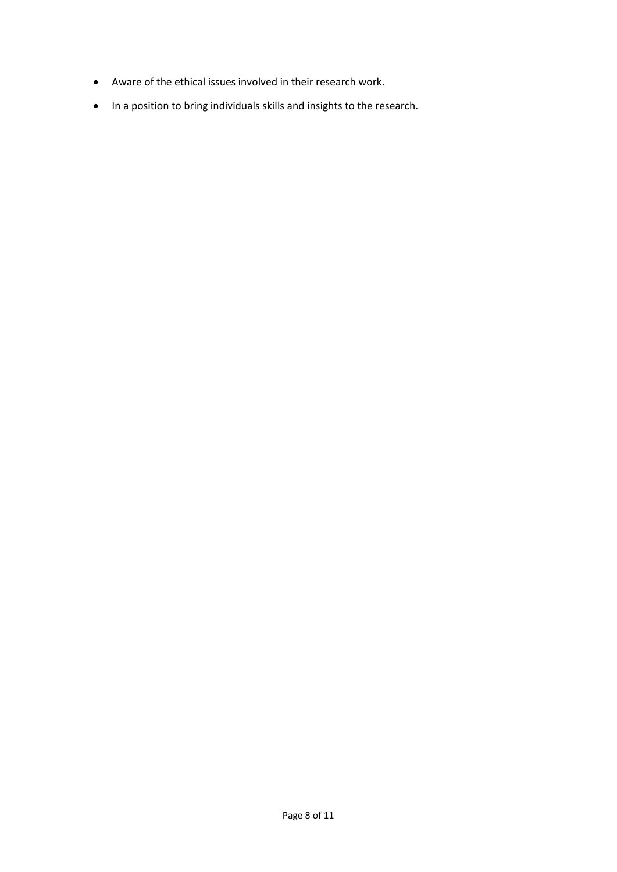- Aware of the ethical issues involved in their research work.
- In a position to bring individuals skills and insights to the research.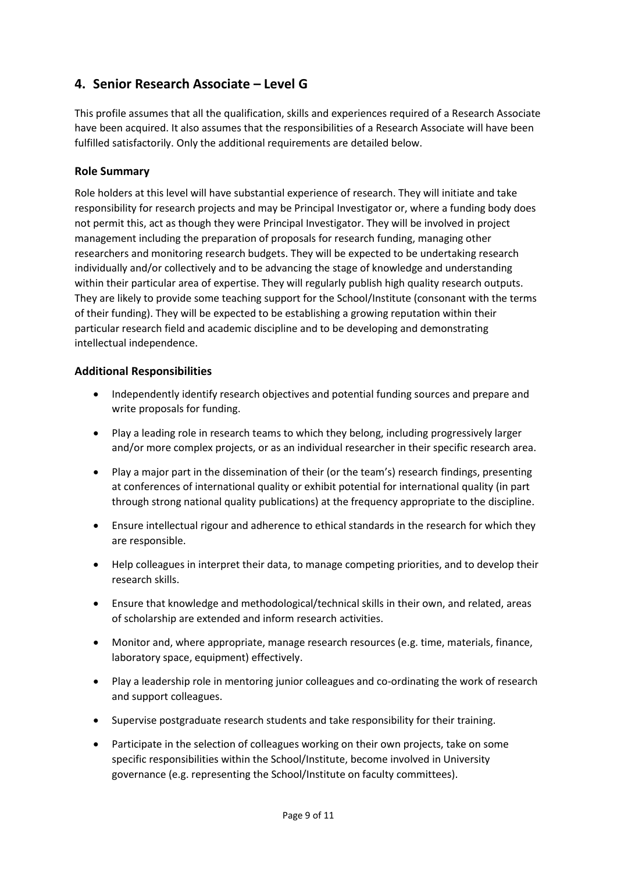# **4. Senior Research Associate – Level G**

This profile assumes that all the qualification, skills and experiences required of a Research Associate have been acquired. It also assumes that the responsibilities of a Research Associate will have been fulfilled satisfactorily. Only the additional requirements are detailed below.

### **Role Summary**

Role holders at this level will have substantial experience of research. They will initiate and take responsibility for research projects and may be Principal Investigator or, where a funding body does not permit this, act as though they were Principal Investigator. They will be involved in project management including the preparation of proposals for research funding, managing other researchers and monitoring research budgets. They will be expected to be undertaking research individually and/or collectively and to be advancing the stage of knowledge and understanding within their particular area of expertise. They will regularly publish high quality research outputs. They are likely to provide some teaching support for the School/Institute (consonant with the terms of their funding). They will be expected to be establishing a growing reputation within their particular research field and academic discipline and to be developing and demonstrating intellectual independence.

### **Additional Responsibilities**

- Independently identify research objectives and potential funding sources and prepare and write proposals for funding.
- Play a leading role in research teams to which they belong, including progressively larger and/or more complex projects, or as an individual researcher in their specific research area.
- Play a major part in the dissemination of their (or the team's) research findings, presenting at conferences of international quality or exhibit potential for international quality (in part through strong national quality publications) at the frequency appropriate to the discipline.
- Ensure intellectual rigour and adherence to ethical standards in the research for which they are responsible.
- Help colleagues in interpret their data, to manage competing priorities, and to develop their research skills.
- Ensure that knowledge and methodological/technical skills in their own, and related, areas of scholarship are extended and inform research activities.
- Monitor and, where appropriate, manage research resources (e.g. time, materials, finance, laboratory space, equipment) effectively.
- Play a leadership role in mentoring junior colleagues and co-ordinating the work of research and support colleagues.
- Supervise postgraduate research students and take responsibility for their training.
- Participate in the selection of colleagues working on their own projects, take on some specific responsibilities within the School/Institute, become involved in University governance (e.g. representing the School/Institute on faculty committees).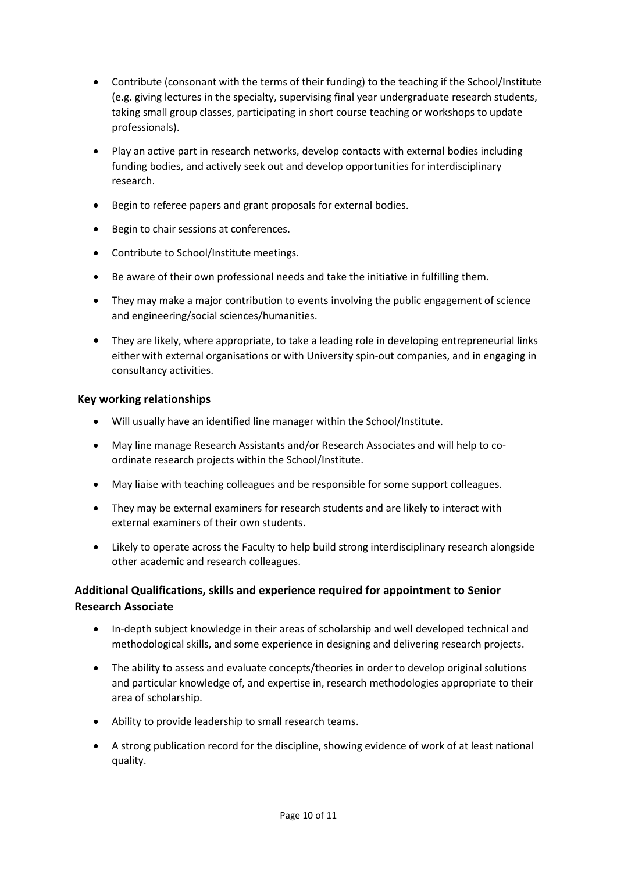- Contribute (consonant with the terms of their funding) to the teaching if the School/Institute (e.g. giving lectures in the specialty, supervising final year undergraduate research students, taking small group classes, participating in short course teaching or workshops to update professionals).
- Play an active part in research networks, develop contacts with external bodies including funding bodies, and actively seek out and develop opportunities for interdisciplinary research.
- Begin to referee papers and grant proposals for external bodies.
- Begin to chair sessions at conferences.
- Contribute to School/Institute meetings.
- Be aware of their own professional needs and take the initiative in fulfilling them.
- They may make a major contribution to events involving the public engagement of science and engineering/social sciences/humanities.
- They are likely, where appropriate, to take a leading role in developing entrepreneurial links either with external organisations or with University spin-out companies, and in engaging in consultancy activities.

#### **Key working relationships**

- Will usually have an identified line manager within the School/Institute.
- May line manage Research Assistants and/or Research Associates and will help to coordinate research projects within the School/Institute.
- May liaise with teaching colleagues and be responsible for some support colleagues.
- They may be external examiners for research students and are likely to interact with external examiners of their own students.
- Likely to operate across the Faculty to help build strong interdisciplinary research alongside other academic and research colleagues.

## **Additional Qualifications, skills and experience required for appointment to Senior Research Associate**

- In-depth subject knowledge in their areas of scholarship and well developed technical and methodological skills, and some experience in designing and delivering research projects.
- The ability to assess and evaluate concepts/theories in order to develop original solutions and particular knowledge of, and expertise in, research methodologies appropriate to their area of scholarship.
- Ability to provide leadership to small research teams.
- A strong publication record for the discipline, showing evidence of work of at least national quality.